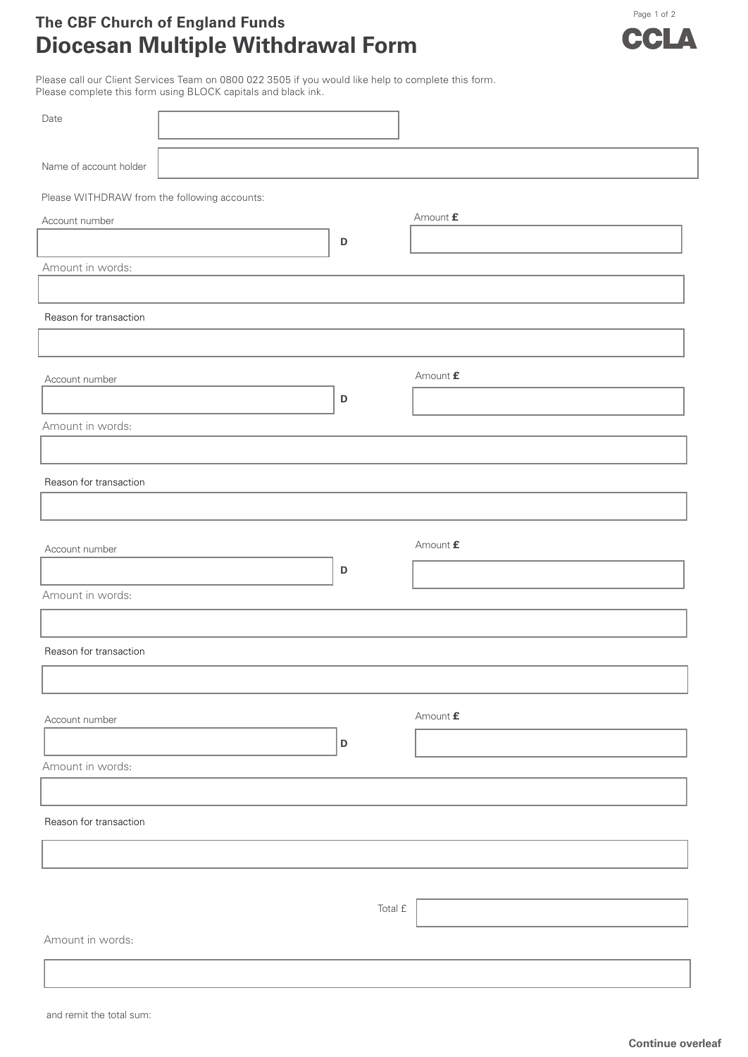## **The CBF Church of England Funds Diocesan Multiple Withdrawal Form**



Please call our Client Services Team on 0800 022 3505 if you would like help to complete this form. Please complete this form using BLOCK capitals and black ink.

| Date                                         |  |             |                           |  |  |  |  |  |
|----------------------------------------------|--|-------------|---------------------------|--|--|--|--|--|
| Name of account holder                       |  |             |                           |  |  |  |  |  |
| Please WITHDRAW from the following accounts: |  |             |                           |  |  |  |  |  |
| Amount $\pmb{\mathsf{f}}$<br>Account number  |  |             |                           |  |  |  |  |  |
|                                              |  | $\mathsf D$ |                           |  |  |  |  |  |
| Amount in words:                             |  |             |                           |  |  |  |  |  |
|                                              |  |             |                           |  |  |  |  |  |
| Reason for transaction                       |  |             |                           |  |  |  |  |  |
|                                              |  |             |                           |  |  |  |  |  |
| Account number                               |  |             | Amount $\pmb{\mathit{f}}$ |  |  |  |  |  |
|                                              |  | $\mathsf D$ |                           |  |  |  |  |  |
| Amount in words:                             |  |             |                           |  |  |  |  |  |
|                                              |  |             |                           |  |  |  |  |  |
| Reason for transaction                       |  |             |                           |  |  |  |  |  |
|                                              |  |             |                           |  |  |  |  |  |
|                                              |  |             |                           |  |  |  |  |  |
| Account number                               |  |             | Amount £                  |  |  |  |  |  |
|                                              |  | $\mathsf D$ |                           |  |  |  |  |  |
| Amount in words:                             |  |             |                           |  |  |  |  |  |
|                                              |  |             |                           |  |  |  |  |  |
| Reason for transaction                       |  |             |                           |  |  |  |  |  |
|                                              |  |             |                           |  |  |  |  |  |
|                                              |  |             | Amount $\pmb{\mathit{f}}$ |  |  |  |  |  |
| Account number                               |  |             |                           |  |  |  |  |  |
| Amount in words:                             |  | $\mathsf D$ |                           |  |  |  |  |  |
|                                              |  |             |                           |  |  |  |  |  |
| Reason for transaction                       |  |             |                           |  |  |  |  |  |
|                                              |  |             |                           |  |  |  |  |  |
|                                              |  |             |                           |  |  |  |  |  |
|                                              |  |             |                           |  |  |  |  |  |
|                                              |  | Total £     |                           |  |  |  |  |  |
| Amount in words:                             |  |             |                           |  |  |  |  |  |
|                                              |  |             |                           |  |  |  |  |  |